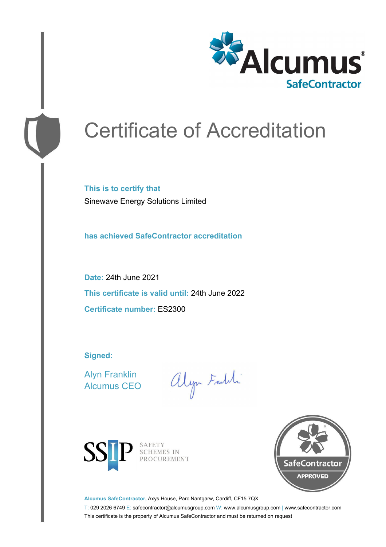

# Certificate of Accreditation

**This is to certify that** Sinewave Energy Solutions Limited

**has achieved SafeContractor accreditation**

**Date:** 24th June 2021 **This certificate is valid until:** 24th June 2022 **Certificate number:** ES2300

**Signed:**

Alyn Franklin Alcumus CEO

alyn Faith



SAFETY<br>SCHEMES IN PROCUREMENT



**Alcumus SafeContractor,** Axys House, Parc Nantgarw, Cardiff, CF15 7QX

T: 029 2026 6749 E: safecontractor@alcumusgroup.com W: www.alcumusgroup.com | www.safecontractor.com This certificate is the property of Alcumus SafeContractor and must be returned on request